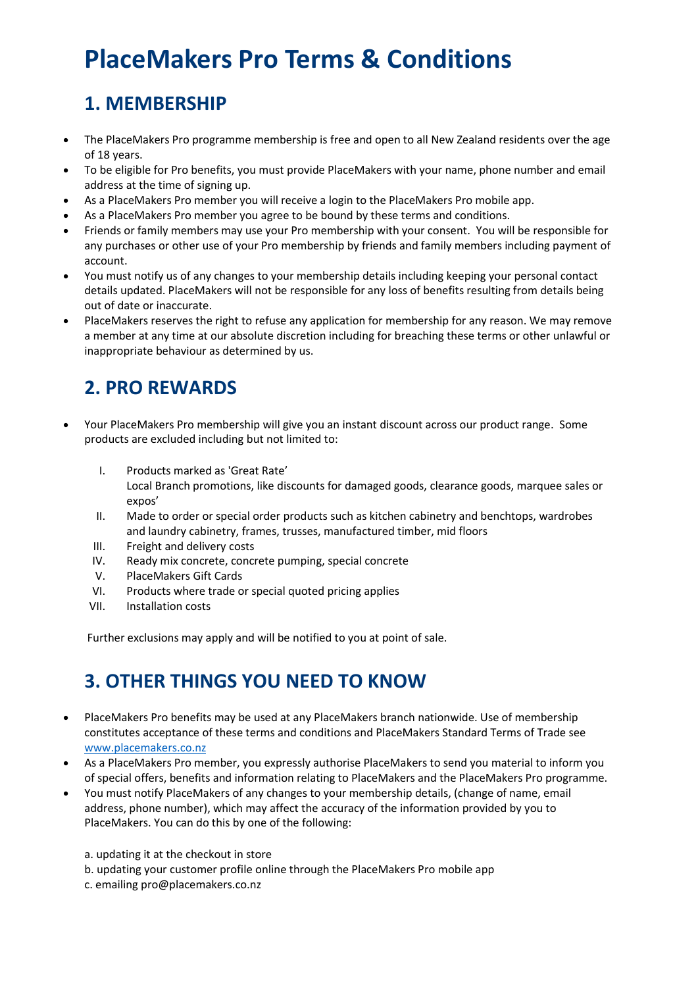## **PlaceMakers Pro Terms & Conditions**

## **1. MEMBERSHIP**

- The PlaceMakers Pro programme membership is free and open to all New Zealand residents over the age of 18 years.
- To be eligible for Pro benefits, you must provide PlaceMakers with your name, phone number and email address at the time of signing up.
- As a PlaceMakers Pro member you will receive a login to the PlaceMakers Pro mobile app.
- As a PlaceMakers Pro member you agree to be bound by these terms and conditions.
- Friends or family members may use your Pro membership with your consent. You will be responsible for any purchases or other use of your Pro membership by friends and family members including payment of account.
- You must notify us of any changes to your membership details including keeping your personal contact details updated. PlaceMakers will not be responsible for any loss of benefits resulting from details being out of date or inaccurate.
- PlaceMakers reserves the right to refuse any application for membership for any reason. We may remove a member at any time at our absolute discretion including for breaching these terms or other unlawful or inappropriate behaviour as determined by us.

## **2. PRO REWARDS**

- Your PlaceMakers Pro membership will give you an instant discount across our product range. Some products are excluded including but not limited to:
	- I. Products marked as 'Great Rate' Local Branch promotions, like discounts for damaged goods, clearance goods, marquee sales or expos'
	- II. Made to order or special order products such as kitchen cabinetry and benchtops, wardrobes and laundry cabinetry, frames, trusses, manufactured timber, mid floors
	- III. Freight and delivery costs
	- IV. Ready mix concrete, concrete pumping, special concrete
	- V. PlaceMakers Gift Cards
	- VI. Products where trade or special quoted pricing applies
	- VII. Installation costs

Further exclusions may apply and will be notified to you at point of sale.

## **3. OTHER THINGS YOU NEED TO KNOW**

- PlaceMakers Pro benefits may be used at any PlaceMakers branch nationwide. Use of membership constitutes acceptance of these terms and conditions and PlaceMakers Standard Terms of Trade see [www.placemakers.co.nz](http://www.placemakers.co.nz/)
- As a PlaceMakers Pro member, you expressly authorise PlaceMakers to send you material to inform you of special offers, benefits and information relating to PlaceMakers and the PlaceMakers Pro programme.
- You must notify PlaceMakers of any changes to your membership details, (change of name, email address, phone number), which may affect the accuracy of the information provided by you to PlaceMakers. You can do this by one of the following:
	- a. updating it at the checkout in store
	- b. updating your customer profile online through the PlaceMakers Pro mobile app
	- c. emailing pro@placemakers.co.nz